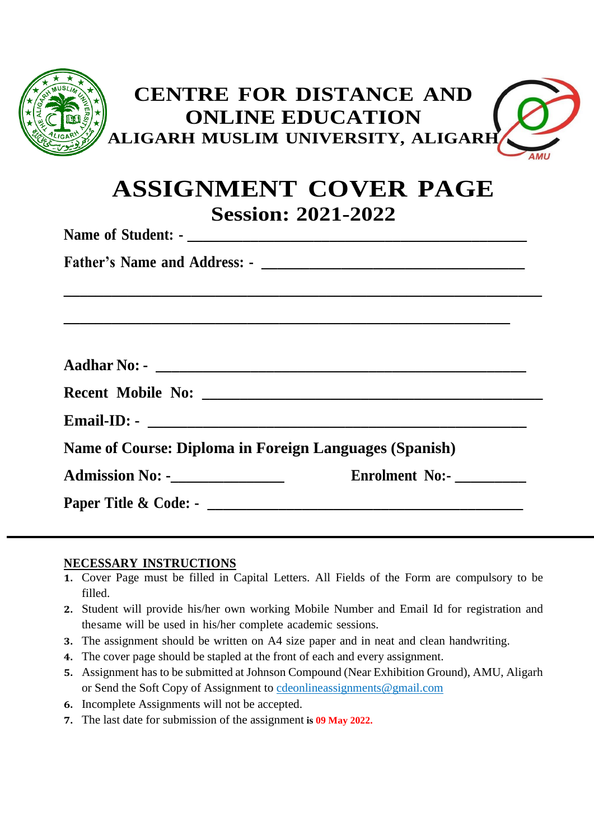| <b>CENTRE FOR DISTANCE AND</b><br><b>ONLINE EDUCATION</b><br>ALIGARH MUSLIM UNIVERSITY, ALIGARH<br>AML                                                                            |  |  |
|-----------------------------------------------------------------------------------------------------------------------------------------------------------------------------------|--|--|
| <b>ASSIGNMENT COVER PAGE</b><br><b>Session: 2021-2022</b>                                                                                                                         |  |  |
|                                                                                                                                                                                   |  |  |
|                                                                                                                                                                                   |  |  |
| <u> 1989 - Jan Barat, Amerikaansk politiker (* 1908)</u><br><u> 1989 - Johann Barn, amerikan berkema dalam berkema dalam berkema dalam berkema dalam berkema dalam berkema da</u> |  |  |
|                                                                                                                                                                                   |  |  |
|                                                                                                                                                                                   |  |  |
|                                                                                                                                                                                   |  |  |
| <b>Name of Course: Diploma in Foreign Languages (Spanish)</b>                                                                                                                     |  |  |
| <b>Admission No: -________________</b><br><b>Enrolment No:-</b>                                                                                                                   |  |  |
|                                                                                                                                                                                   |  |  |

#### **NECESSARY INSTRUCTIONS**

- **1.** Cover Page must be filled in Capital Letters. All Fields of the Form are compulsory to be filled.
- **2.** Student will provide his/her own working Mobile Number and Email Id for registration and thesame will be used in his/her complete academic sessions.
- **3.** The assignment should be written on A4 size paper and in neat and clean handwriting.
- **4.** The cover page should be stapled at the front of each and every assignment.
- **5.** Assignment has to be submitted at Johnson Compound (Near Exhibition Ground), AMU, Aligarh or Send the Soft Copy of Assignment to [cdeonlineassignments@gmail.com](mailto:cdeonlineassignments@gmail.com)
- **6.** Incomplete Assignments will not be accepted.
- **7.** The last date for submission of the assignment **is 09 May 2022.**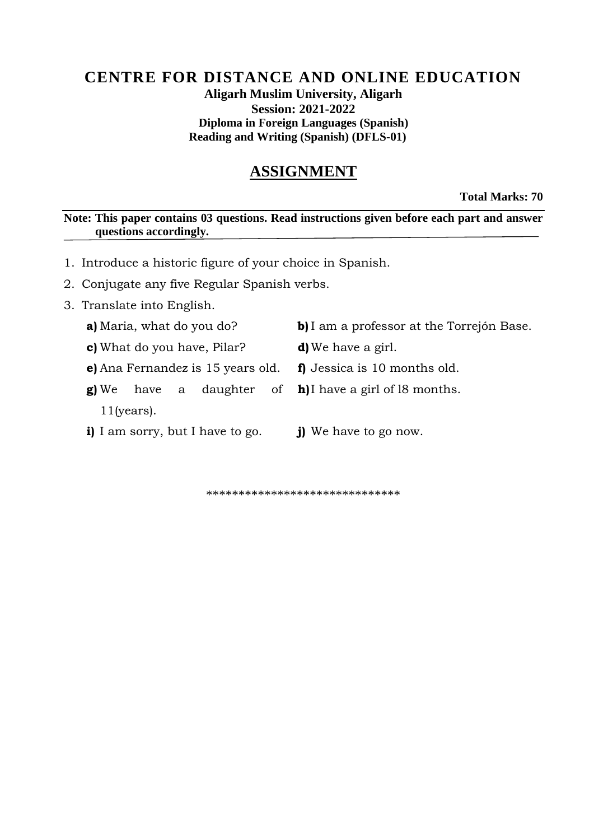### **CENTRE FOR DISTANCE AND ONLINE EDUCATION Aligarh Muslim University, Aligarh Session: 2021-2022 Diploma in Foreign Languages (Spanish) Reading and Writing (Spanish) (DFLS-01)**

# **ASSIGNMENT**

**Total Marks: 70**

**Note: This paper contains 03 questions. Read instructions given before each part and answer questions accordingly.**

- 1. Introduce a historic figure of your choice in Spanish.
- 2. Conjugate any five Regular Spanish verbs.
- 3. Translate into English.
	- -
		- **e)** Ana Fernandez is 15 years old. **f)** Jessica is 10 months old.
		- **g**) We have a daughter 11(years).
		- **i)** I am sorry, but I have to go. **j)** We have to go now.
- **a)** Maria, what do you do? **b)** I am a professor at the Torrejón Base.
- **c)** What do you have, Pilar? **d)** We have a girl.
	-
	- **h)**I have a girl of l8 months.
		-

\*\*\*\*\*\*\*\*\*\*\*\*\*\*\*\*\*\*\*\*\*\*\*\*\*\*\*\*\*\*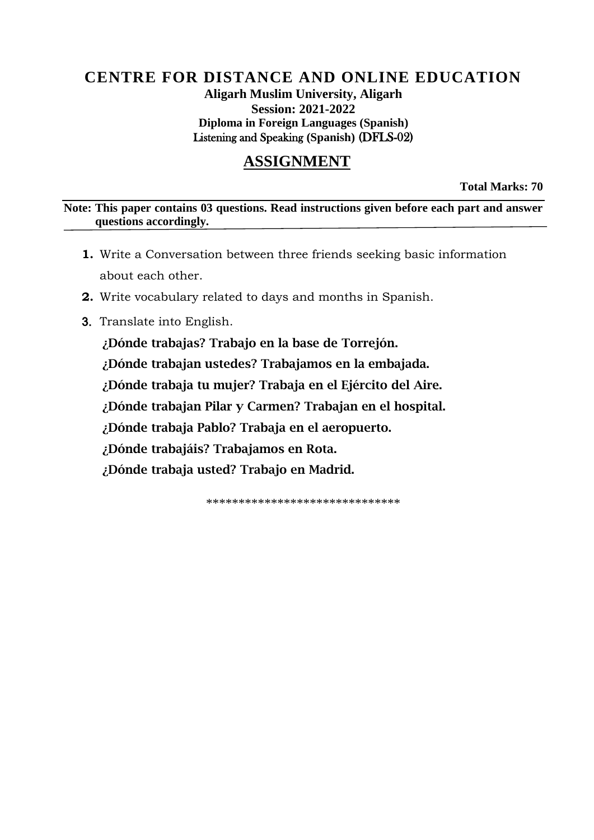### **CENTRE FOR DISTANCE AND ONLINE EDUCATION Aligarh Muslim University, Aligarh Session: 2021-2022 Diploma in Foreign Languages (Spanish)** Listening and Speaking **(Spanish)** (DFLS-02)

## **ASSIGNMENT**

**Total Marks: 70**

**Note: This paper contains 03 questions. Read instructions given before each part and answer questions accordingly.**

- **1.** Write a Conversation between three friends seeking basic information about each other.
- **2.** Write vocabulary related to days and months in Spanish.
- 3. Translate into English.

¿Dónde trabajas? Trabajo en la base de Torrejón. ¿Dónde trabajan ustedes? Trabajamos en la embajada. ¿Dónde trabaja tu mujer? Trabaja en el Ejército del Aire. ¿Dónde trabajan Pilar y Carmen? Trabajan en el hospital. ¿Dónde trabaja Pablo? Trabaja en el aeropuerto. ¿Dónde trabajáis? Trabajamos en Rota. ¿Dónde trabaja usted? Trabajo en Madrid.

\*\*\*\*\*\*\*\*\*\*\*\*\*\*\*\*\*\*\*\*\*\*\*\*\*\*\*\*\*\*